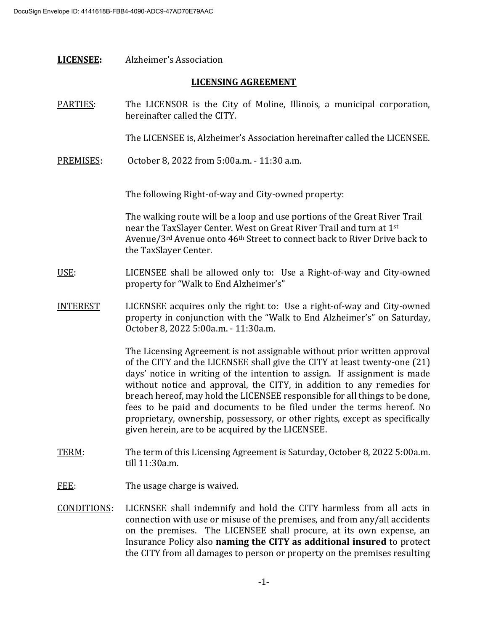| <b>LICENSEE:</b>           | Alzheimer's Association                                                                                                                                                                                                                                                                                                                                                                                                                                                                                                                                                                                 |
|----------------------------|---------------------------------------------------------------------------------------------------------------------------------------------------------------------------------------------------------------------------------------------------------------------------------------------------------------------------------------------------------------------------------------------------------------------------------------------------------------------------------------------------------------------------------------------------------------------------------------------------------|
| <b>LICENSING AGREEMENT</b> |                                                                                                                                                                                                                                                                                                                                                                                                                                                                                                                                                                                                         |
| PARTIES:                   | The LICENSOR is the City of Moline, Illinois, a municipal corporation,<br>hereinafter called the CITY.                                                                                                                                                                                                                                                                                                                                                                                                                                                                                                  |
|                            | The LICENSEE is, Alzheimer's Association hereinafter called the LICENSEE.                                                                                                                                                                                                                                                                                                                                                                                                                                                                                                                               |
| PREMISES:                  | October 8, 2022 from 5:00a.m. - 11:30 a.m.                                                                                                                                                                                                                                                                                                                                                                                                                                                                                                                                                              |
|                            | The following Right-of-way and City-owned property:                                                                                                                                                                                                                                                                                                                                                                                                                                                                                                                                                     |
|                            | The walking route will be a loop and use portions of the Great River Trail<br>near the TaxSlayer Center. West on Great River Trail and turn at 1st<br>Avenue/3rd Avenue onto 46 <sup>th</sup> Street to connect back to River Drive back to<br>the TaxSlayer Center.                                                                                                                                                                                                                                                                                                                                    |
| USE:                       | LICENSEE shall be allowed only to: Use a Right-of-way and City-owned<br>property for "Walk to End Alzheimer's"                                                                                                                                                                                                                                                                                                                                                                                                                                                                                          |
| <b>INTEREST</b>            | LICENSEE acquires only the right to: Use a right-of-way and City-owned<br>property in conjunction with the "Walk to End Alzheimer's" on Saturday,<br>October 8, 2022 5:00a.m. - 11:30a.m.                                                                                                                                                                                                                                                                                                                                                                                                               |
|                            | The Licensing Agreement is not assignable without prior written approval<br>of the CITY and the LICENSEE shall give the CITY at least twenty-one (21)<br>days' notice in writing of the intention to assign. If assignment is made<br>without notice and approval, the CITY, in addition to any remedies for<br>breach hereof, may hold the LICENSEE responsible for all things to be done,<br>fees to be paid and documents to be filed under the terms hereof. No<br>proprietary, ownership, possessory, or other rights, except as specifically<br>given herein, are to be acquired by the LICENSEE. |
| TERM:                      | The term of this Licensing Agreement is Saturday, October 8, 2022 5:00a.m.<br>till 11:30a.m.                                                                                                                                                                                                                                                                                                                                                                                                                                                                                                            |
| FEE:                       | The usage charge is waived.                                                                                                                                                                                                                                                                                                                                                                                                                                                                                                                                                                             |
| CONDITIONS:                | LICENSEE shall indemnify and hold the CITY harmless from all acts in<br>connection with use or misuse of the premises, and from any/all accidents<br>on the premises. The LICENSEE shall procure, at its own expense, an<br>Insurance Policy also naming the CITY as additional insured to protect<br>the CITY from all damages to person or property on the premises resulting                                                                                                                                                                                                                         |